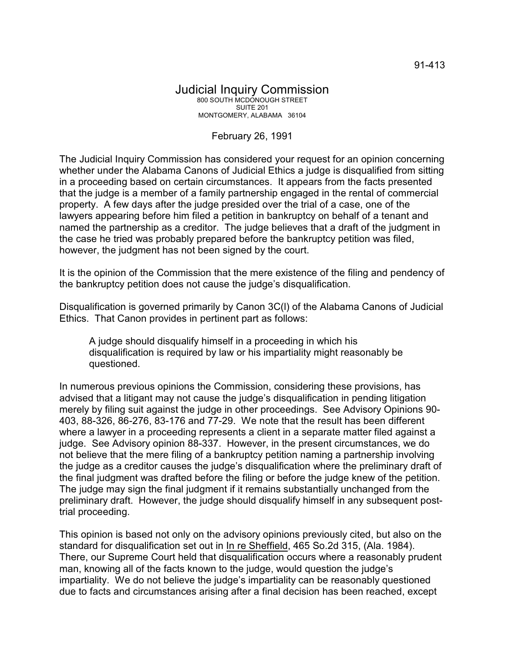## Judicial Inquiry Commission 800 SOUTH MCDONOUGH STREET SUITE 201 MONTGOMERY, ALABAMA 36104

## February 26, 1991

The Judicial Inquiry Commission has considered your request for an opinion concerning whether under the Alabama Canons of Judicial Ethics a judge is disqualified from sitting in a proceeding based on certain circumstances. It appears from the facts presented that the judge is a member of a family partnership engaged in the rental of commercial property. A few days after the judge presided over the trial of a case, one of the lawyers appearing before him filed a petition in bankruptcy on behalf of a tenant and named the partnership as a creditor. The judge believes that a draft of the judgment in the case he tried was probably prepared before the bankruptcy petition was filed, however, the judgment has not been signed by the court.

It is the opinion of the Commission that the mere existence of the filing and pendency of the bankruptcy petition does not cause the judge's disqualification.

Disqualification is governed primarily by Canon 3C(l) of the Alabama Canons of Judicial Ethics. That Canon provides in pertinent part as follows:

A judge should disqualify himself in a proceeding in which his disqualification is required by law or his impartiality might reasonably be questioned.

In numerous previous opinions the Commission, considering these provisions, has advised that a litigant may not cause the judge's disqualification in pending litigation merely by filing suit against the judge in other proceedings. See Advisory Opinions 90- 403, 88-326, 86-276, 83-176 and 77-29. We note that the result has been different where a lawyer in a proceeding represents a client in a separate matter filed against a judge. See Advisory opinion 88-337. However, in the present circumstances, we do not believe that the mere filing of a bankruptcy petition naming a partnership involving the judge as a creditor causes the judge's disqualification where the preliminary draft of the final judgment was drafted before the filing or before the judge knew of the petition. The judge may sign the final judgment if it remains substantially unchanged from the preliminary draft. However, the judge should disqualify himself in any subsequent posttrial proceeding.

This opinion is based not only on the advisory opinions previously cited, but also on the standard for disqualification set out in In re Sheffield, 465 So.2d 315, (Ala. 1984). There, our Supreme Court held that disqualification occurs where a reasonably prudent man, knowing all of the facts known to the judge, would question the judge's impartiality. We do not believe the judge's impartiality can be reasonably questioned due to facts and circumstances arising after a final decision has been reached, except